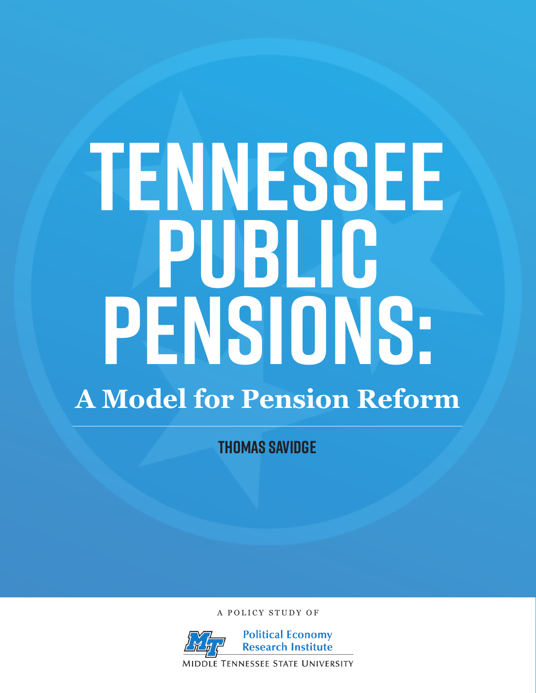# **Tennessee Public Pensions: A Model for Pension Reform**

**Thomas Savidge**

A POLICY STUDY OF

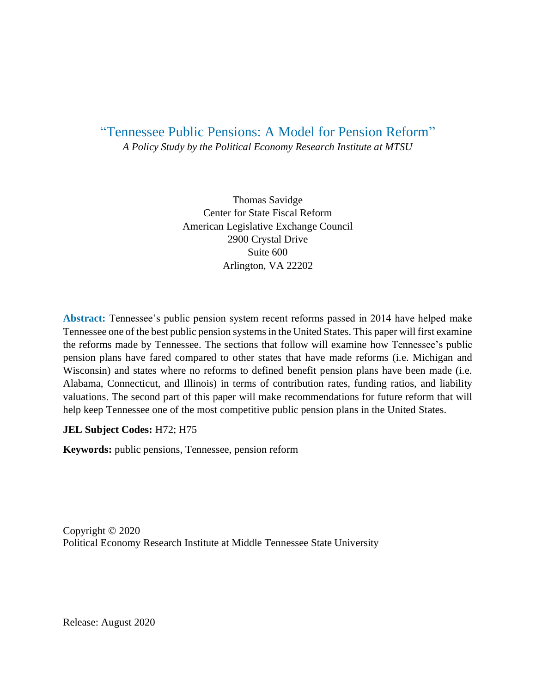### "Tennessee Public Pensions: A Model for Pension Reform" *A Policy Study by the Political Economy Research Institute at MTSU*

Thomas Savidge Center for State Fiscal Reform American Legislative Exchange Council 2900 Crystal Drive Suite 600 Arlington, VA 22202

**Abstract:** Tennessee's public pension system recent reforms passed in 2014 have helped make Tennessee one of the best public pension systems in the United States. This paper will first examine the reforms made by Tennessee. The sections that follow will examine how Tennessee's public pension plans have fared compared to other states that have made reforms (i.e. Michigan and Wisconsin) and states where no reforms to defined benefit pension plans have been made (i.e. Alabama, Connecticut, and Illinois) in terms of contribution rates, funding ratios, and liability valuations. The second part of this paper will make recommendations for future reform that will help keep Tennessee one of the most competitive public pension plans in the United States.

#### **JEL Subject Codes:** H72; H75

**Keywords:** public pensions, Tennessee, pension reform

Copyright © 2020 Political Economy Research Institute at Middle Tennessee State University

Release: August 2020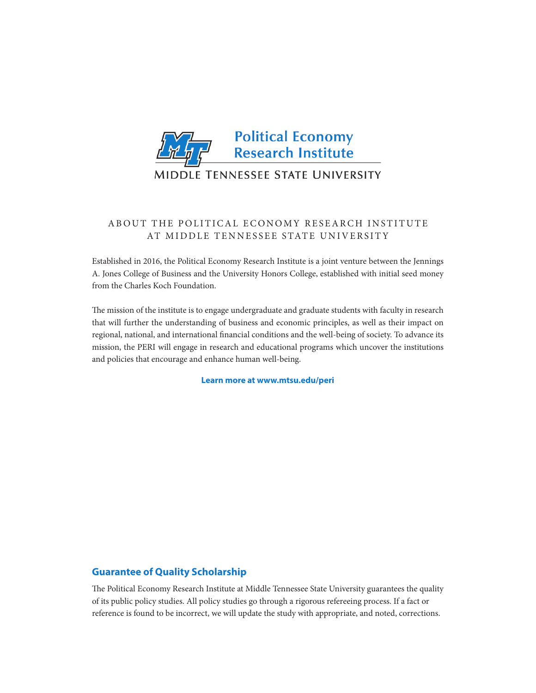

#### ABOUT THE POLITICAL ECONOMY RESEARCH INSTITUTE AT MIDDLE TENNESSEE STATE UNIVERSITY

Established in 2016, the Political Economy Research Institute is a joint venture between the Jennings A. Jones College of Business and the University Honors College, established with initial seed money from the Charles Koch Foundation.

The mission of the institute is to engage undergraduate and graduate students with faculty in research that will further the understanding of business and economic principles, as well as their impact on regional, national, and international financial conditions and the well-being of society. To advance its mission, the PERI will engage in research and educational programs which uncover the institutions and policies that encourage and enhance human well-being.

**Learn more at www.mtsu.edu/peri**

#### **Guarantee of Quality Scholarship**

The Political Economy Research Institute at Middle Tennessee State University guarantees the quality of its public policy studies. All policy studies go through a rigorous refereeing process. If a fact or reference is found to be incorrect, we will update the study with appropriate, and noted, corrections.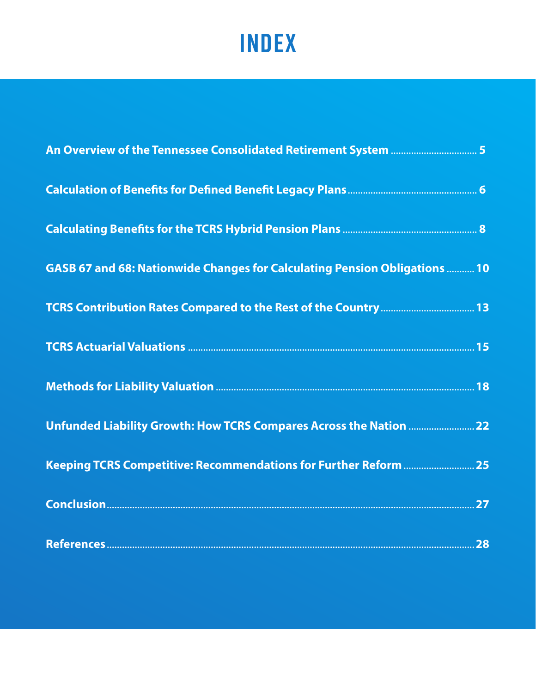## **INDEX**

| GASB 67 and 68: Nationwide Changes for Calculating Pension Obligations  10 |  |
|----------------------------------------------------------------------------|--|
|                                                                            |  |
|                                                                            |  |
|                                                                            |  |
|                                                                            |  |
|                                                                            |  |
|                                                                            |  |
|                                                                            |  |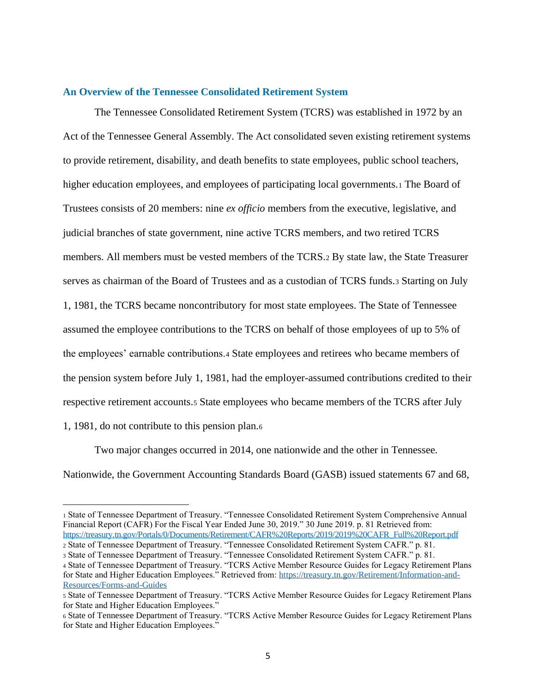#### <span id="page-4-0"></span>**An Overview of the Tennessee Consolidated Retirement System**

The Tennessee Consolidated Retirement System (TCRS) was established in 1972 by an Act of the Tennessee General Assembly. The Act consolidated seven existing retirement systems to provide retirement, disability, and death benefits to state employees, public school teachers, higher education employees, and employees of participating local governments.1 The Board of Trustees consists of 20 members: nine *ex officio* members from the executive, legislative, and judicial branches of state government, nine active TCRS members, and two retired TCRS members. All members must be vested members of the TCRS.<sup>2</sup> By state law, the State Treasurer serves as chairman of the Board of Trustees and as a custodian of TCRS funds.<sup>3</sup> Starting on July 1, 1981, the TCRS became noncontributory for most state employees. The State of Tennessee assumed the employee contributions to the TCRS on behalf of those employees of up to 5% of the employees' earnable contributions.<sup>4</sup> State employees and retirees who became members of the pension system before July 1, 1981, had the employer-assumed contributions credited to their respective retirement accounts.<sup>5</sup> State employees who became members of the TCRS after July 1, 1981, do not contribute to this pension plan.<sup>6</sup>

Two major changes occurred in 2014, one nationwide and the other in Tennessee. Nationwide, the Government Accounting Standards Board (GASB) issued statements 67 and 68,

<sup>1</sup> State of Tennessee Department of Treasury. "Tennessee Consolidated Retirement System Comprehensive Annual Financial Report (CAFR) For the Fiscal Year Ended June 30, 2019." 30 June 2019. p. 81 Retrieved from: [https://treasury.tn.gov/Portals/0/Documents/Retirement/CAFR%20Reports/2019/2019%20CAFR\\_Full%20Report.pdf](https://treasury.tn.gov/Portals/0/Documents/Retirement/CAFR%20Reports/2019/2019%20CAFR_Full%20Report.pdf)

<sup>2</sup> State of Tennessee Department of Treasury. "Tennessee Consolidated Retirement System CAFR." p. 81.

<sup>3</sup> State of Tennessee Department of Treasury. "Tennessee Consolidated Retirement System CAFR." p. 81.

<sup>4</sup> State of Tennessee Department of Treasury. "TCRS Active Member Resource Guides for Legacy Retirement Plans for State and Higher Education Employees." Retrieved from: [https://treasury.tn.gov/Retirement/Information-and-](https://treasury.tn.gov/Retirement/Information-and-Resources/Forms-and-Guides)[Resources/Forms-and-Guides](https://treasury.tn.gov/Retirement/Information-and-Resources/Forms-and-Guides)

<sup>5</sup> State of Tennessee Department of Treasury. "TCRS Active Member Resource Guides for Legacy Retirement Plans for State and Higher Education Employees."

<sup>6</sup> State of Tennessee Department of Treasury. "TCRS Active Member Resource Guides for Legacy Retirement Plans for State and Higher Education Employees."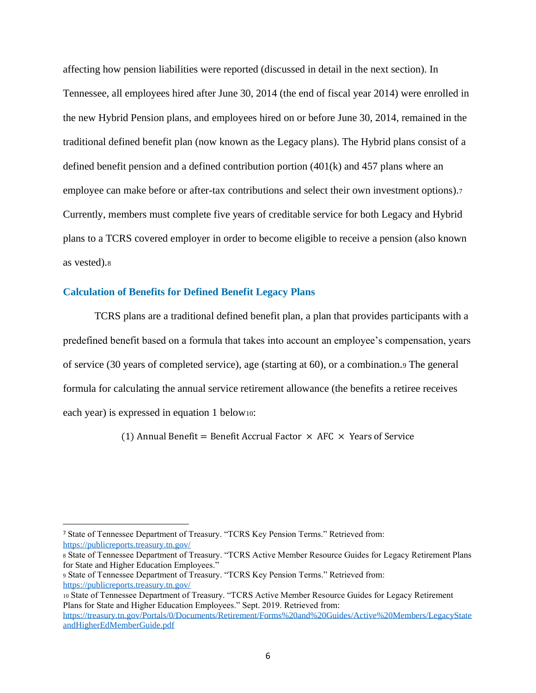<span id="page-5-0"></span>affecting how pension liabilities were reported (discussed in detail in the next section). In Tennessee, all employees hired after June 30, 2014 (the end of fiscal year 2014) were enrolled in the new Hybrid Pension plans, and employees hired on or before June 30, 2014, remained in the traditional defined benefit plan (now known as the Legacy plans). The Hybrid plans consist of a defined benefit pension and a defined contribution portion (401(k) and 457 plans where an employee can make before or after-tax contributions and select their own investment options).<sup>7</sup> Currently, members must complete five years of creditable service for both Legacy and Hybrid plans to a TCRS covered employer in order to become eligible to receive a pension (also known as vested).<sup>8</sup>

#### **Calculation of Benefits for Defined Benefit Legacy Plans**

TCRS plans are a traditional defined benefit plan, a plan that provides participants with a predefined benefit based on a formula that takes into account an employee's compensation, years of service (30 years of completed service), age (starting at 60), or a combination.<sup>9</sup> The general formula for calculating the annual service retirement allowance (the benefits a retiree receives each year) is expressed in equation 1 below10:

(1) Annual Benefit = Benefit Accrual Factor  $\times$  AFC  $\times$  Years of Service

<sup>7</sup> State of Tennessee Department of Treasury. "TCRS Key Pension Terms." Retrieved from: <https://publicreports.treasury.tn.gov/>

<sup>8</sup> State of Tennessee Department of Treasury. "TCRS Active Member Resource Guides for Legacy Retirement Plans for State and Higher Education Employees."

<sup>9</sup> State of Tennessee Department of Treasury. "TCRS Key Pension Terms." Retrieved from: <https://publicreports.treasury.tn.gov/>

<sup>10</sup> State of Tennessee Department of Treasury. "TCRS Active Member Resource Guides for Legacy Retirement Plans for State and Higher Education Employees." Sept. 2019. Retrieved from:

[https://treasury.tn.gov/Portals/0/Documents/Retirement/Forms%20and%20Guides/Active%20Members/LegacyState](https://treasury.tn.gov/Portals/0/Documents/Retirement/Forms%20and%20Guides/Active%20Members/LegacyStateandHigherEdMemberGuide.pdf) [andHigherEdMemberGuide.pdf](https://treasury.tn.gov/Portals/0/Documents/Retirement/Forms%20and%20Guides/Active%20Members/LegacyStateandHigherEdMemberGuide.pdf)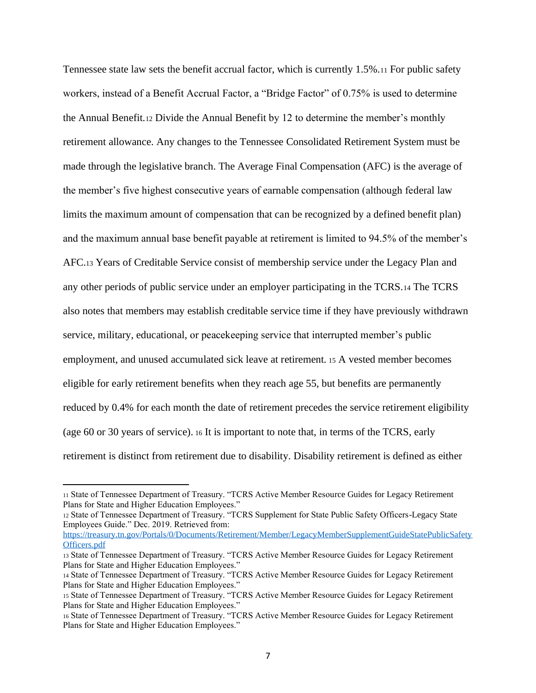Tennessee state law sets the benefit accrual factor, which is currently 1.5%.<sup>11</sup> For public safety workers, instead of a Benefit Accrual Factor, a "Bridge Factor" of 0.75% is used to determine the Annual Benefit.<sup>12</sup> Divide the Annual Benefit by 12 to determine the member's monthly retirement allowance. Any changes to the Tennessee Consolidated Retirement System must be made through the legislative branch. The Average Final Compensation (AFC) is the average of the member's five highest consecutive years of earnable compensation (although federal law limits the maximum amount of compensation that can be recognized by a defined benefit plan) and the maximum annual base benefit payable at retirement is limited to 94.5% of the member's AFC.<sup>13</sup> Years of Creditable Service consist of membership service under the Legacy Plan and any other periods of public service under an employer participating in the TCRS.<sup>14</sup> The TCRS also notes that members may establish creditable service time if they have previously withdrawn service, military, educational, or peacekeeping service that interrupted member's public employment, and unused accumulated sick leave at retirement. <sup>15</sup> A vested member becomes eligible for early retirement benefits when they reach age 55, but benefits are permanently reduced by 0.4% for each month the date of retirement precedes the service retirement eligibility (age 60 or 30 years of service). <sup>16</sup> It is important to note that, in terms of the TCRS, early retirement is distinct from retirement due to disability. Disability retirement is defined as either

[https://treasury.tn.gov/Portals/0/Documents/Retirement/Member/LegacyMemberSupplementGuideStatePublicSafety](https://treasury.tn.gov/Portals/0/Documents/Retirement/Member/LegacyMemberSupplementGuideStatePublicSafetyOfficers.pdf) [Officers.pdf](https://treasury.tn.gov/Portals/0/Documents/Retirement/Member/LegacyMemberSupplementGuideStatePublicSafetyOfficers.pdf)

<sup>11</sup> State of Tennessee Department of Treasury. "TCRS Active Member Resource Guides for Legacy Retirement Plans for State and Higher Education Employees."

<sup>12</sup> State of Tennessee Department of Treasury. "TCRS Supplement for State Public Safety Officers-Legacy State Employees Guide." Dec. 2019. Retrieved from:

<sup>13</sup> State of Tennessee Department of Treasury. "TCRS Active Member Resource Guides for Legacy Retirement Plans for State and Higher Education Employees."

<sup>14</sup> State of Tennessee Department of Treasury. "TCRS Active Member Resource Guides for Legacy Retirement Plans for State and Higher Education Employees."

<sup>15</sup> State of Tennessee Department of Treasury. "TCRS Active Member Resource Guides for Legacy Retirement Plans for State and Higher Education Employees."

<sup>16</sup> State of Tennessee Department of Treasury. "TCRS Active Member Resource Guides for Legacy Retirement Plans for State and Higher Education Employees."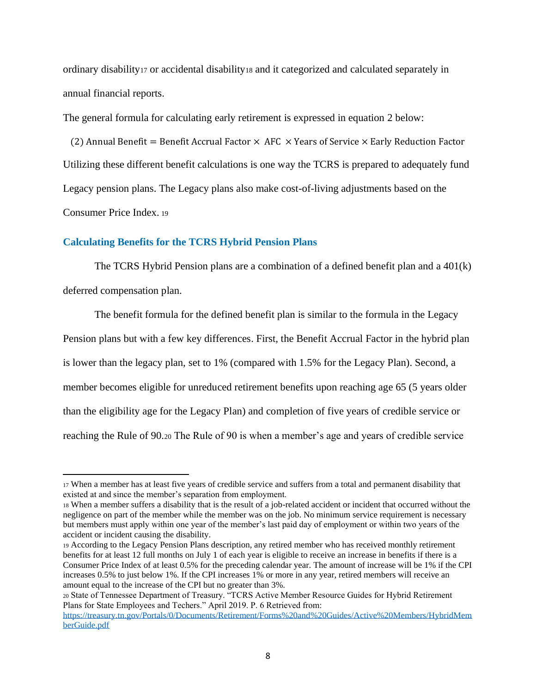<span id="page-7-0"></span>ordinary disability<sup>17</sup> or accidental disability<sup>18</sup> and it categorized and calculated separately in annual financial reports.

The general formula for calculating early retirement is expressed in equation 2 below:

(2) Annual Benefit = Benefit Accrual Factor  $\times$  AFC  $\times$  Years of Service  $\times$  Early Reduction Factor Utilizing these different benefit calculations is one way the TCRS is prepared to adequately fund Legacy pension plans. The Legacy plans also make cost-of-living adjustments based on the Consumer Price Index. <sup>19</sup>

#### **Calculating Benefits for the TCRS Hybrid Pension Plans**

The TCRS Hybrid Pension plans are a combination of a defined benefit plan and a 401(k) deferred compensation plan.

The benefit formula for the defined benefit plan is similar to the formula in the Legacy Pension plans but with a few key differences. First, the Benefit Accrual Factor in the hybrid plan is lower than the legacy plan, set to 1% (compared with 1.5% for the Legacy Plan). Second, a member becomes eligible for unreduced retirement benefits upon reaching age 65 (5 years older than the eligibility age for the Legacy Plan) and completion of five years of credible service or reaching the Rule of 90.<sup>20</sup> The Rule of 90 is when a member's age and years of credible service

<sup>17</sup> When a member has at least five years of credible service and suffers from a total and permanent disability that existed at and since the member's separation from employment.

<sup>18</sup> When a member suffers a disability that is the result of a job-related accident or incident that occurred without the negligence on part of the member while the member was on the job. No minimum service requirement is necessary but members must apply within one year of the member's last paid day of employment or within two years of the accident or incident causing the disability.

<sup>19</sup> According to the Legacy Pension Plans description, any retired member who has received monthly retirement benefits for at least 12 full months on July 1 of each year is eligible to receive an increase in benefits if there is a Consumer Price Index of at least 0.5% for the preceding calendar year. The amount of increase will be 1% if the CPI increases 0.5% to just below 1%. If the CPI increases 1% or more in any year, retired members will receive an amount equal to the increase of the CPI but no greater than 3%.

<sup>20</sup> State of Tennessee Department of Treasury. "TCRS Active Member Resource Guides for Hybrid Retirement Plans for State Employees and Techers." April 2019. P. 6 Retrieved from:

[https://treasury.tn.gov/Portals/0/Documents/Retirement/Forms%20and%20Guides/Active%20Members/HybridMem](https://treasury.tn.gov/Portals/0/Documents/Retirement/Forms%20and%20Guides/Active%20Members/HybridMemberGuide.pdf) [berGuide.pdf](https://treasury.tn.gov/Portals/0/Documents/Retirement/Forms%20and%20Guides/Active%20Members/HybridMemberGuide.pdf)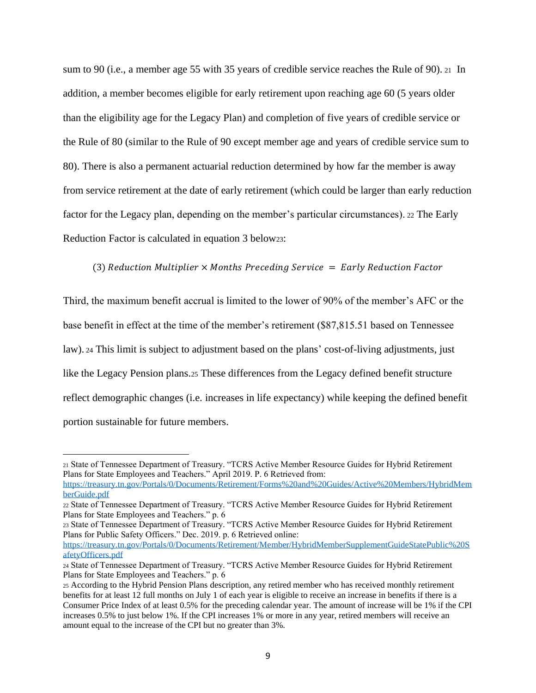sum to 90 (i.e., a member age 55 with 35 years of credible service reaches the Rule of 90). <sup>21</sup> In addition, a member becomes eligible for early retirement upon reaching age 60 (5 years older than the eligibility age for the Legacy Plan) and completion of five years of credible service or the Rule of 80 (similar to the Rule of 90 except member age and years of credible service sum to 80). There is also a permanent actuarial reduction determined by how far the member is away from service retirement at the date of early retirement (which could be larger than early reduction factor for the Legacy plan, depending on the member's particular circumstances). <sup>22</sup> The Early Reduction Factor is calculated in equation 3 below23:

#### (3) Reduction Multiplier  $\times$  Months Preceding Service  $=$  Early Reduction Factor

Third, the maximum benefit accrual is limited to the lower of 90% of the member's AFC or the base benefit in effect at the time of the member's retirement (\$87,815.51 based on Tennessee law). <sup>24</sup> This limit is subject to adjustment based on the plans' cost-of-living adjustments, just like the Legacy Pension plans.<sup>25</sup> These differences from the Legacy defined benefit structure reflect demographic changes (i.e. increases in life expectancy) while keeping the defined benefit portion sustainable for future members.

<sup>21</sup> State of Tennessee Department of Treasury. "TCRS Active Member Resource Guides for Hybrid Retirement Plans for State Employees and Teachers." April 2019. P. 6 Retrieved from:

[https://treasury.tn.gov/Portals/0/Documents/Retirement/Forms%20and%20Guides/Active%20Members/HybridMem](https://treasury.tn.gov/Portals/0/Documents/Retirement/Forms%20and%20Guides/Active%20Members/HybridMemberGuide.pdf) [berGuide.pdf](https://treasury.tn.gov/Portals/0/Documents/Retirement/Forms%20and%20Guides/Active%20Members/HybridMemberGuide.pdf)

<sup>22</sup> State of Tennessee Department of Treasury. "TCRS Active Member Resource Guides for Hybrid Retirement Plans for State Employees and Teachers." p. 6

<sup>23</sup> State of Tennessee Department of Treasury. "TCRS Active Member Resource Guides for Hybrid Retirement Plans for Public Safety Officers." Dec. 2019. p. 6 Retrieved online:

[https://treasury.tn.gov/Portals/0/Documents/Retirement/Member/HybridMemberSupplementGuideStatePublic%20S](https://treasury.tn.gov/Portals/0/Documents/Retirement/Member/HybridMemberSupplementGuideStatePublic%20SafetyOfficers.pdf) [afetyOfficers.pdf](https://treasury.tn.gov/Portals/0/Documents/Retirement/Member/HybridMemberSupplementGuideStatePublic%20SafetyOfficers.pdf)

<sup>24</sup> State of Tennessee Department of Treasury. "TCRS Active Member Resource Guides for Hybrid Retirement Plans for State Employees and Teachers." p. 6

<sup>25</sup> According to the Hybrid Pension Plans description, any retired member who has received monthly retirement benefits for at least 12 full months on July 1 of each year is eligible to receive an increase in benefits if there is a Consumer Price Index of at least 0.5% for the preceding calendar year. The amount of increase will be 1% if the CPI increases 0.5% to just below 1%. If the CPI increases 1% or more in any year, retired members will receive an amount equal to the increase of the CPI but no greater than 3%.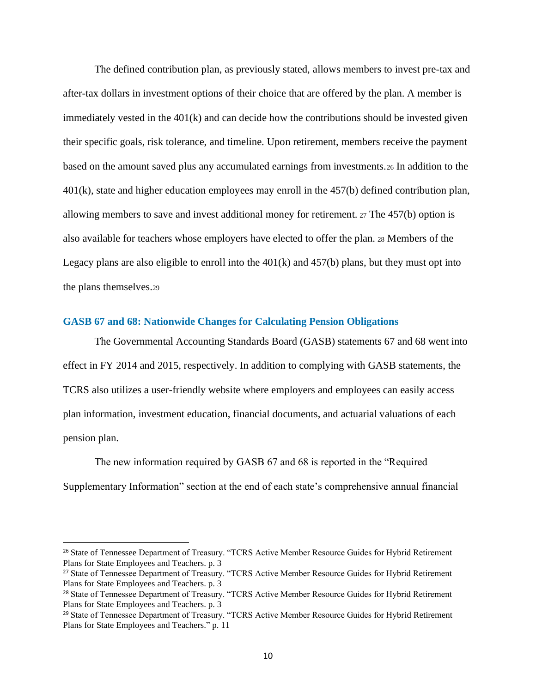<span id="page-9-0"></span>The defined contribution plan, as previously stated, allows members to invest pre-tax and after-tax dollars in investment options of their choice that are offered by the plan. A member is immediately vested in the  $401(k)$  and can decide how the contributions should be invested given their specific goals, risk tolerance, and timeline. Upon retirement, members receive the payment based on the amount saved plus any accumulated earnings from investments.<sup>26</sup> In addition to the 401(k), state and higher education employees may enroll in the 457(b) defined contribution plan, allowing members to save and invest additional money for retirement. <sup>27</sup> The 457(b) option is also available for teachers whose employers have elected to offer the plan. <sup>28</sup> Members of the Legacy plans are also eligible to enroll into the  $401(k)$  and  $457(b)$  plans, but they must opt into the plans themselves.<sup>29</sup>

#### **GASB 67 and 68: Nationwide Changes for Calculating Pension Obligations**

The Governmental Accounting Standards Board (GASB) statements 67 and 68 went into effect in FY 2014 and 2015, respectively. In addition to complying with GASB statements, the TCRS also utilizes a user-friendly website where employers and employees can easily access plan information, investment education, financial documents, and actuarial valuations of each pension plan.

The new information required by GASB 67 and 68 is reported in the "Required Supplementary Information" section at the end of each state's comprehensive annual financial

<sup>&</sup>lt;sup>26</sup> State of Tennessee Department of Treasury. "TCRS Active Member Resource Guides for Hybrid Retirement Plans for State Employees and Teachers. p. 3

<sup>27</sup> State of Tennessee Department of Treasury. "TCRS Active Member Resource Guides for Hybrid Retirement Plans for State Employees and Teachers. p. 3

<sup>28</sup> State of Tennessee Department of Treasury. "TCRS Active Member Resource Guides for Hybrid Retirement Plans for State Employees and Teachers. p. 3

<sup>&</sup>lt;sup>29</sup> State of Tennessee Department of Treasury. "TCRS Active Member Resource Guides for Hybrid Retirement Plans for State Employees and Teachers." p. 11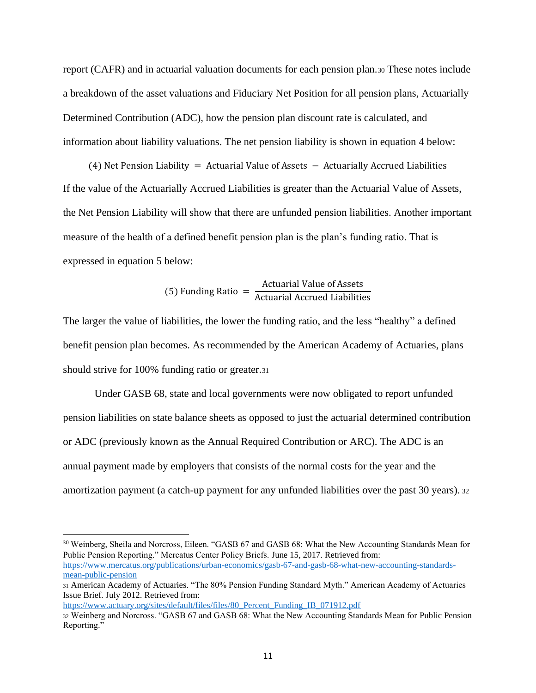report (CAFR) and in actuarial valuation documents for each pension plan.<sup>30</sup> These notes include a breakdown of the asset valuations and Fiduciary Net Position for all pension plans, Actuarially Determined Contribution (ADC), how the pension plan discount rate is calculated, and information about liability valuations. The net pension liability is shown in equation 4 below:

(4) Net Pension Liability = Actuarial Value of Assets − Actuarially Accrued Liabilities If the value of the Actuarially Accrued Liabilities is greater than the Actuarial Value of Assets, the Net Pension Liability will show that there are unfunded pension liabilities. Another important measure of the health of a defined benefit pension plan is the plan's funding ratio. That is expressed in equation 5 below:

(5) Funding Ratio = 
$$
\frac{\text{Actual Value of Assets}}{\text{Actual Accrued Liabilities}}
$$

The larger the value of liabilities, the lower the funding ratio, and the less "healthy" a defined benefit pension plan becomes. As recommended by the American Academy of Actuaries, plans should strive for 100% funding ratio or greater.<sup>31</sup>

Under GASB 68, state and local governments were now obligated to report unfunded pension liabilities on state balance sheets as opposed to just the actuarial determined contribution or ADC (previously known as the Annual Required Contribution or ARC). The ADC is an annual payment made by employers that consists of the normal costs for the year and the amortization payment (a catch-up payment for any unfunded liabilities over the past 30 years). <sup>32</sup>

[https://www.actuary.org/sites/default/files/files/80\\_Percent\\_Funding\\_IB\\_071912.pdf](https://www.actuary.org/sites/default/files/files/80_Percent_Funding_IB_071912.pdf)

<sup>30</sup> Weinberg, Sheila and Norcross, Eileen. "GASB 67 and GASB 68: What the New Accounting Standards Mean for Public Pension Reporting." Mercatus Center Policy Briefs. June 15, 2017. Retrieved from: [https://www.mercatus.org/publications/urban-economics/gasb-67-and-gasb-68-what-new-accounting-standards](https://www.mercatus.org/publications/urban-economics/gasb-67-and-gasb-68-what-new-accounting-standards-mean-public-pension)[mean-public-pension](https://www.mercatus.org/publications/urban-economics/gasb-67-and-gasb-68-what-new-accounting-standards-mean-public-pension)

<sup>31</sup> American Academy of Actuaries. "The 80% Pension Funding Standard Myth." American Academy of Actuaries Issue Brief. July 2012. Retrieved from:

<sup>32</sup> Weinberg and Norcross. "GASB 67 and GASB 68: What the New Accounting Standards Mean for Public Pension Reporting."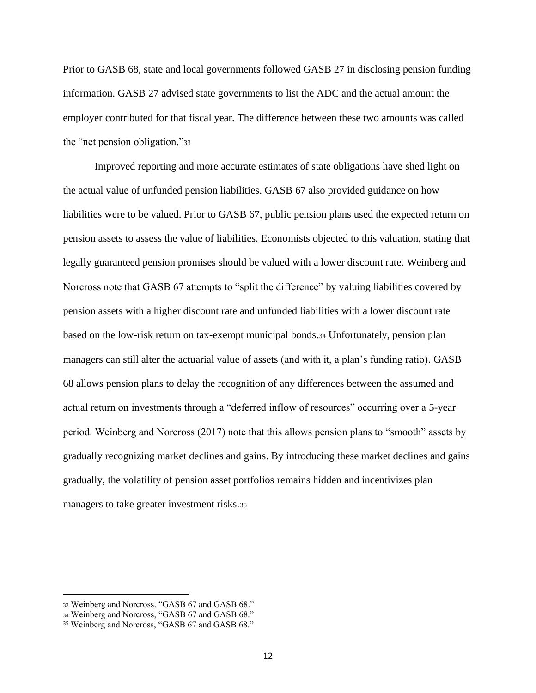Prior to GASB 68, state and local governments followed GASB 27 in disclosing pension funding information. GASB 27 advised state governments to list the ADC and the actual amount the employer contributed for that fiscal year. The difference between these two amounts was called the "net pension obligation."<sup>33</sup>

Improved reporting and more accurate estimates of state obligations have shed light on the actual value of unfunded pension liabilities. GASB 67 also provided guidance on how liabilities were to be valued. Prior to GASB 67, public pension plans used the expected return on pension assets to assess the value of liabilities. Economists objected to this valuation, stating that legally guaranteed pension promises should be valued with a lower discount rate. Weinberg and Norcross note that GASB 67 attempts to "split the difference" by valuing liabilities covered by pension assets with a higher discount rate and unfunded liabilities with a lower discount rate based on the low-risk return on tax-exempt municipal bonds.<sup>34</sup> Unfortunately, pension plan managers can still alter the actuarial value of assets (and with it, a plan's funding ratio). GASB 68 allows pension plans to delay the recognition of any differences between the assumed and actual return on investments through a "deferred inflow of resources" occurring over a 5-year period. Weinberg and Norcross (2017) note that this allows pension plans to "smooth" assets by gradually recognizing market declines and gains. By introducing these market declines and gains gradually, the volatility of pension asset portfolios remains hidden and incentivizes plan managers to take greater investment risks.<sup>35</sup>

<sup>33</sup> Weinberg and Norcross. "GASB 67 and GASB 68."

<sup>34</sup> Weinberg and Norcross, "GASB 67 and GASB 68."

<sup>35</sup> Weinberg and Norcross, "GASB 67 and GASB 68."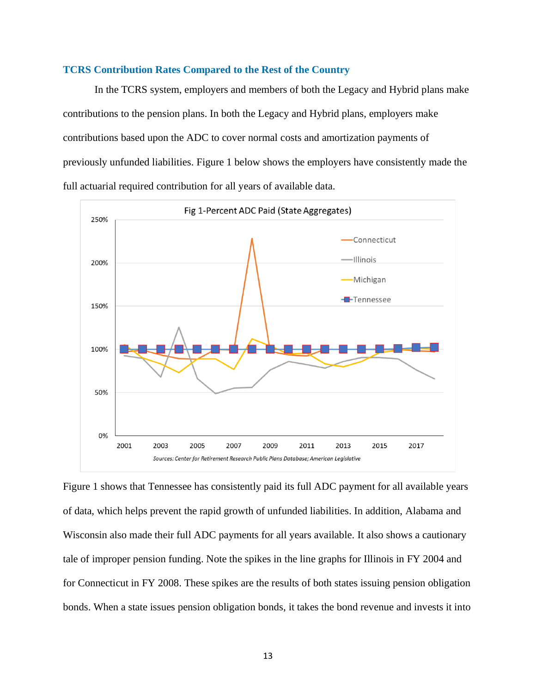#### <span id="page-12-0"></span>**TCRS Contribution Rates Compared to the Rest of the Country**

In the TCRS system, employers and members of both the Legacy and Hybrid plans make contributions to the pension plans. In both the Legacy and Hybrid plans, employers make contributions based upon the ADC to cover normal costs and amortization payments of previously unfunded liabilities. Figure 1 below shows the employers have consistently made the full actuarial required contribution for all years of available data.



Figure 1 shows that Tennessee has consistently paid its full ADC payment for all available years of data, which helps prevent the rapid growth of unfunded liabilities. In addition, Alabama and Wisconsin also made their full ADC payments for all years available. It also shows a cautionary tale of improper pension funding. Note the spikes in the line graphs for Illinois in FY 2004 and for Connecticut in FY 2008. These spikes are the results of both states issuing pension obligation bonds. When a state issues pension obligation bonds, it takes the bond revenue and invests it into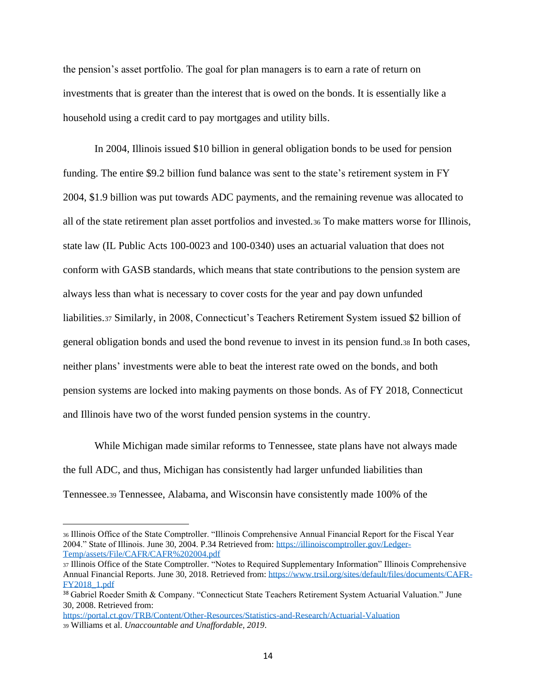the pension's asset portfolio. The goal for plan managers is to earn a rate of return on investments that is greater than the interest that is owed on the bonds. It is essentially like a household using a credit card to pay mortgages and utility bills.

In 2004, Illinois issued \$10 billion in general obligation bonds to be used for pension funding. The entire \$9.2 billion fund balance was sent to the state's retirement system in FY 2004, \$1.9 billion was put towards ADC payments, and the remaining revenue was allocated to all of the state retirement plan asset portfolios and invested.<sup>36</sup> To make matters worse for Illinois, state law (IL Public Acts 100-0023 and 100-0340) uses an actuarial valuation that does not conform with GASB standards, which means that state contributions to the pension system are always less than what is necessary to cover costs for the year and pay down unfunded liabilities.<sup>37</sup> Similarly, in 2008, Connecticut's Teachers Retirement System issued \$2 billion of general obligation bonds and used the bond revenue to invest in its pension fund.<sup>38</sup> In both cases, neither plans' investments were able to beat the interest rate owed on the bonds, and both pension systems are locked into making payments on those bonds. As of FY 2018, Connecticut and Illinois have two of the worst funded pension systems in the country.

While Michigan made similar reforms to Tennessee, state plans have not always made the full ADC, and thus, Michigan has consistently had larger unfunded liabilities than Tennessee.<sup>39</sup> Tennessee, Alabama, and Wisconsin have consistently made 100% of the

<sup>36</sup> Illinois Office of the State Comptroller. "Illinois Comprehensive Annual Financial Report for the Fiscal Year 2004." State of Illinois. June 30, 2004. P.34 Retrieved from[: https://illinoiscomptroller.gov/Ledger-](https://illinoiscomptroller.gov/Ledger-Temp/assets/File/CAFR/CAFR%202004.pdf)[Temp/assets/File/CAFR/CAFR%202004.pdf](https://illinoiscomptroller.gov/Ledger-Temp/assets/File/CAFR/CAFR%202004.pdf)

<sup>37</sup> Illinois Office of the State Comptroller. "Notes to Required Supplementary Information" Illinois Comprehensive Annual Financial Reports. June 30, 2018. Retrieved from[: https://www.trsil.org/sites/default/files/documents/CAFR-](https://www.trsil.org/sites/default/files/documents/CAFR-FY2018_1.pdf)[FY2018\\_1.pdf](https://www.trsil.org/sites/default/files/documents/CAFR-FY2018_1.pdf)

<sup>38</sup> Gabriel Roeder Smith & Company. "Connecticut State Teachers Retirement System Actuarial Valuation." June 30, 2008. Retrieved from:

<https://portal.ct.gov/TRB/Content/Other-Resources/Statistics-and-Research/Actuarial-Valuation> <sup>39</sup> Williams et al. *Unaccountable and Unaffordable, 2019*.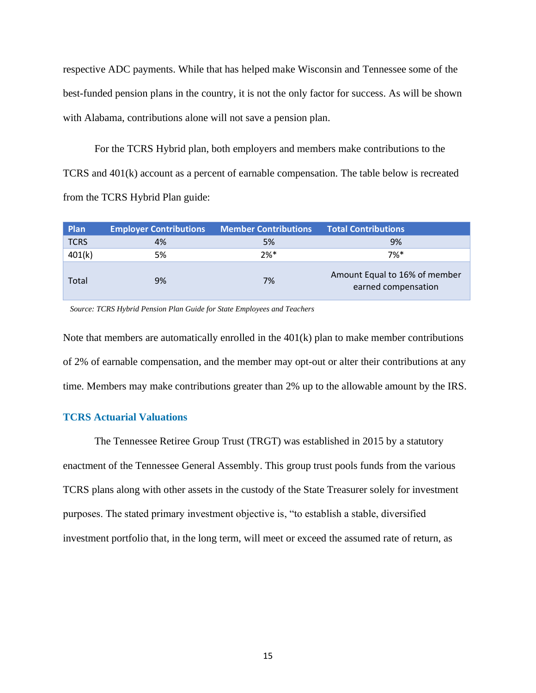<span id="page-14-0"></span>respective ADC payments. While that has helped make Wisconsin and Tennessee some of the best-funded pension plans in the country, it is not the only factor for success. As will be shown with Alabama, contributions alone will not save a pension plan.

For the TCRS Hybrid plan, both employers and members make contributions to the TCRS and 401(k) account as a percent of earnable compensation. The table below is recreated from the TCRS Hybrid Plan guide:

| Plan        | <b>Employer Contributions</b> | Member Contributions | <b>Total Contributions</b>                           |
|-------------|-------------------------------|----------------------|------------------------------------------------------|
| <b>TCRS</b> | 4%                            | 5%                   | 9%                                                   |
| 401(k)      | 5%                            | $2%$ *               | $7%$ *                                               |
| Total       | 9%                            | 7%                   | Amount Equal to 16% of member<br>earned compensation |

*Source: TCRS Hybrid Pension Plan Guide for State Employees and Teachers*

Note that members are automatically enrolled in the 401(k) plan to make member contributions of 2% of earnable compensation, and the member may opt-out or alter their contributions at any time. Members may make contributions greater than 2% up to the allowable amount by the IRS.

#### **TCRS Actuarial Valuations**

The Tennessee Retiree Group Trust (TRGT) was established in 2015 by a statutory enactment of the Tennessee General Assembly. This group trust pools funds from the various TCRS plans along with other assets in the custody of the State Treasurer solely for investment purposes. The stated primary investment objective is, "to establish a stable, diversified investment portfolio that, in the long term, will meet or exceed the assumed rate of return, as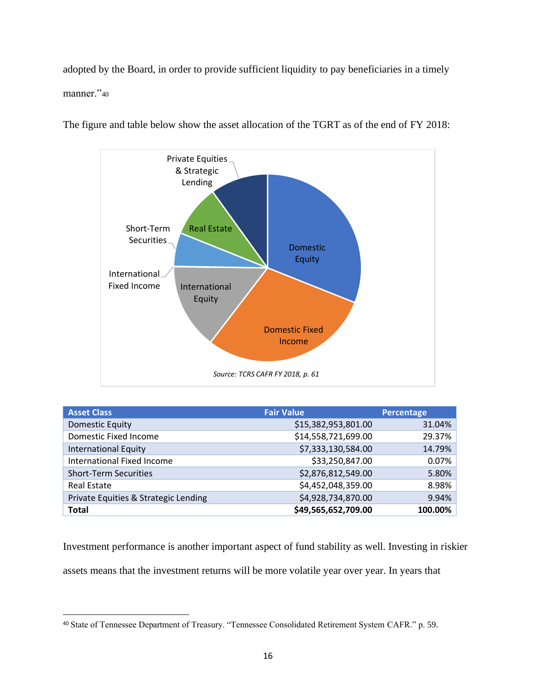adopted by the Board, in order to provide sufficient liquidity to pay beneficiaries in a timely manner."40



The figure and table below show the asset allocation of the TGRT as of the end of FY 2018:

| <b>Asset Class</b>                   | <b>Fair Value</b>   | <b>Percentage</b> |
|--------------------------------------|---------------------|-------------------|
| <b>Domestic Equity</b>               | \$15,382,953,801.00 | 31.04%            |
| Domestic Fixed Income                | \$14,558,721,699.00 | 29.37%            |
| <b>International Equity</b>          | \$7,333,130,584.00  | 14.79%            |
| <b>International Fixed Income</b>    | \$33,250,847.00     | 0.07%             |
| <b>Short-Term Securities</b>         | \$2,876,812,549.00  | 5.80%             |
| <b>Real Estate</b>                   | \$4,452,048,359.00  | 8.98%             |
| Private Equities & Strategic Lending | \$4,928,734,870.00  | 9.94%             |
| <b>Total</b>                         | \$49,565,652,709.00 | 100.00%           |

Investment performance is another important aspect of fund stability as well. Investing in riskier assets means that the investment returns will be more volatile year over year. In years that

<sup>40</sup> State of Tennessee Department of Treasury. "Tennessee Consolidated Retirement System CAFR." p. 59.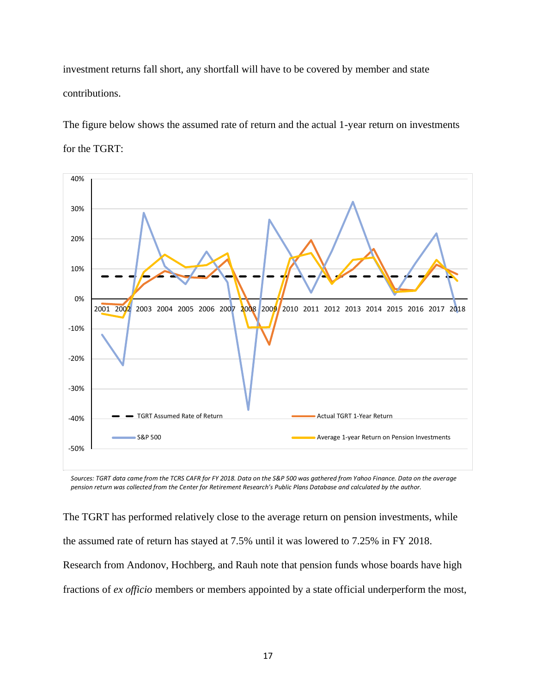investment returns fall short, any shortfall will have to be covered by member and state contributions.

The figure below shows the assumed rate of return and the actual 1-year return on investments for the TGRT:



*Sources: TGRT data came from the TCRS CAFR for FY 2018. Data on the S&P 500 was gathered from Yahoo Finance. Data on the average pension return was collected from the Center for Retirement Research's Public Plans Database and calculated by the author.* 

The TGRT has performed relatively close to the average return on pension investments, while the assumed rate of return has stayed at 7.5% until it was lowered to 7.25% in FY 2018. Research from Andonov, Hochberg, and Rauh note that pension funds whose boards have high fractions of *ex officio* members or members appointed by a state official underperform the most,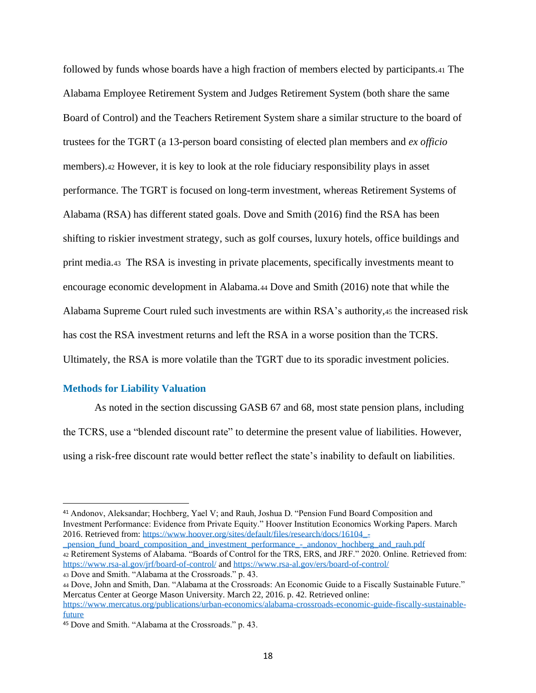<span id="page-17-0"></span>followed by funds whose boards have a high fraction of members elected by participants.<sup>41</sup> The Alabama Employee Retirement System and Judges Retirement System (both share the same Board of Control) and the Teachers Retirement System share a similar structure to the board of trustees for the TGRT (a 13-person board consisting of elected plan members and *ex officio*  members).<sup>42</sup> However, it is key to look at the role fiduciary responsibility plays in asset performance. The TGRT is focused on long-term investment, whereas Retirement Systems of Alabama (RSA) has different stated goals. Dove and Smith (2016) find the RSA has been shifting to riskier investment strategy, such as golf courses, luxury hotels, office buildings and print media.<sup>43</sup> The RSA is investing in private placements, specifically investments meant to encourage economic development in Alabama.<sup>44</sup> Dove and Smith (2016) note that while the Alabama Supreme Court ruled such investments are within RSA's authority,<sup>45</sup> the increased risk has cost the RSA investment returns and left the RSA in a worse position than the TCRS. Ultimately, the RSA is more volatile than the TGRT due to its sporadic investment policies.

#### **Methods for Liability Valuation**

As noted in the section discussing GASB 67 and 68, most state pension plans, including the TCRS, use a "blended discount rate" to determine the present value of liabilities. However, using a risk-free discount rate would better reflect the state's inability to default on liabilities.

[\\_pension\\_fund\\_board\\_composition\\_and\\_investment\\_performance\\_-\\_andonov\\_hochberg\\_and\\_rauh.pdf](https://www.hoover.org/sites/default/files/research/docs/16104_-_pension_fund_board_composition_and_investment_performance_-_andonov_hochberg_and_rauh.pdf) <sup>42</sup> Retirement Systems of Alabama. "Boards of Control for the TRS, ERS, and JRF." 2020. Online. Retrieved from: <https://www.rsa-al.gov/jrf/board-of-control/> and<https://www.rsa-al.gov/ers/board-of-control/> <sup>43</sup> Dove and Smith. "Alabama at the Crossroads." p. 43.

<sup>44</sup> Dove, John and Smith, Dan. "Alabama at the Crossroads: An Economic Guide to a Fiscally Sustainable Future." Mercatus Center at George Mason University. March 22, 2016. p. 42. Retrieved online:

<sup>41</sup> Andonov, Aleksandar; Hochberg, Yael V; and Rauh, Joshua D. "Pension Fund Board Composition and Investment Performance: Evidence from Private Equity." Hoover Institution Economics Working Papers. March 2016. Retrieved from: [https://www.hoover.org/sites/default/files/research/docs/16104\\_-](https://www.hoover.org/sites/default/files/research/docs/16104_-_pension_fund_board_composition_and_investment_performance_-_andonov_hochberg_and_rauh.pdf)

[https://www.mercatus.org/publications/urban-economics/alabama-crossroads-economic-guide-fiscally-sustainable](https://www.mercatus.org/publications/urban-economics/alabama-crossroads-economic-guide-fiscally-sustainable-future)[future](https://www.mercatus.org/publications/urban-economics/alabama-crossroads-economic-guide-fiscally-sustainable-future)

<sup>45</sup> Dove and Smith. "Alabama at the Crossroads." p. 43.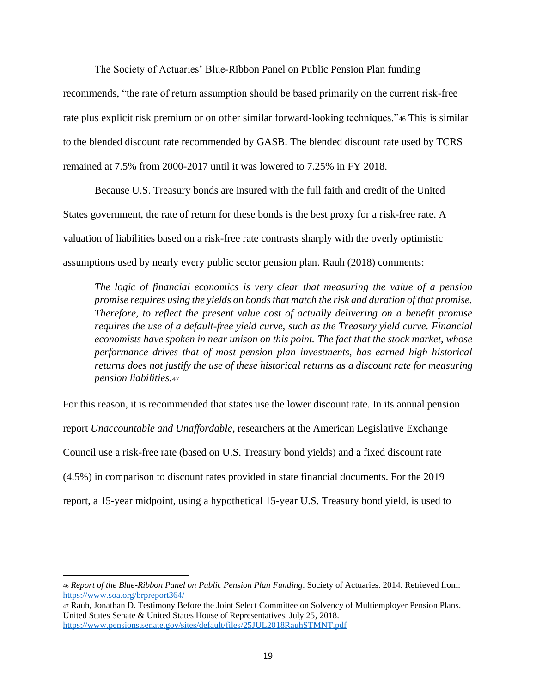The Society of Actuaries' Blue-Ribbon Panel on Public Pension Plan funding recommends, "the rate of return assumption should be based primarily on the current risk-free rate plus explicit risk premium or on other similar forward-looking techniques."<sup>46</sup> This is similar to the blended discount rate recommended by GASB. The blended discount rate used by TCRS remained at 7.5% from 2000-2017 until it was lowered to 7.25% in FY 2018.

Because U.S. Treasury bonds are insured with the full faith and credit of the United States government, the rate of return for these bonds is the best proxy for a risk-free rate. A valuation of liabilities based on a risk-free rate contrasts sharply with the overly optimistic assumptions used by nearly every public sector pension plan. Rauh (2018) comments:

*The logic of financial economics is very clear that measuring the value of a pension promise requires using the yields on bonds that match the risk and duration of that promise. Therefore, to reflect the present value cost of actually delivering on a benefit promise requires the use of a default-free yield curve, such as the Treasury yield curve. Financial economists have spoken in near unison on this point. The fact that the stock market, whose performance drives that of most pension plan investments, has earned high historical returns does not justify the use of these historical returns as a discount rate for measuring pension liabilities.*<sup>47</sup>

For this reason, it is recommended that states use the lower discount rate. In its annual pension report *Unaccountable and Unaffordable*, researchers at the American Legislative Exchange Council use a risk-free rate (based on U.S. Treasury bond yields) and a fixed discount rate (4.5%) in comparison to discount rates provided in state financial documents. For the 2019 report, a 15-year midpoint, using a hypothetical 15-year U.S. Treasury bond yield, is used to

<sup>46</sup> *Report of the Blue-Ribbon Panel on Public Pension Plan Funding*. Society of Actuaries. 2014. Retrieved from: <https://www.soa.org/brpreport364/>

<sup>47</sup> Rauh, Jonathan D. Testimony Before the Joint Select Committee on Solvency of Multiemployer Pension Plans. United States Senate & United States House of Representatives. July 25, 2018. <https://www.pensions.senate.gov/sites/default/files/25JUL2018RauhSTMNT.pdf>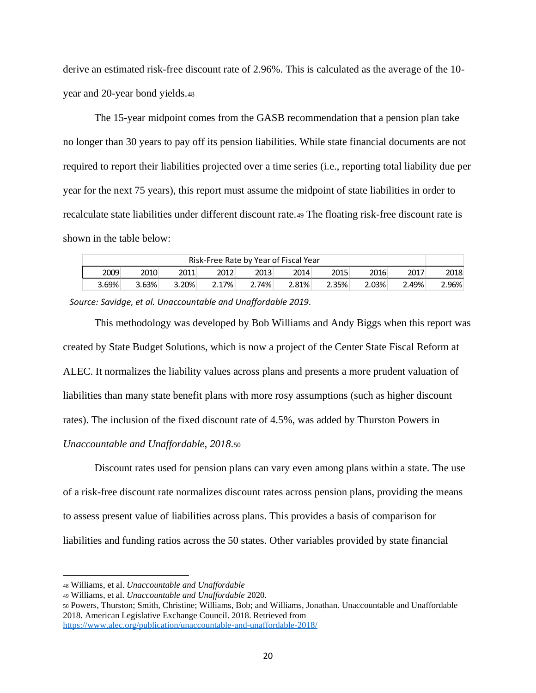derive an estimated risk-free discount rate of 2.96%. This is calculated as the average of the 10 year and 20-year bond yields.<sup>48</sup>

The 15-year midpoint comes from the GASB recommendation that a pension plan take no longer than 30 years to pay off its pension liabilities. While state financial documents are not required to report their liabilities projected over a time series (i.e., reporting total liability due per year for the next 75 years), this report must assume the midpoint of state liabilities in order to recalculate state liabilities under different discount rate.<sup>49</sup> The floating risk-free discount rate is shown in the table below:

| Risk-Free Rate by Year of Fiscal Year |       |          |       |       |       |       |        |       |       |
|---------------------------------------|-------|----------|-------|-------|-------|-------|--------|-------|-------|
| 2009                                  | 2010  | 2011     | 2012  | 2013  | 2014  | 2015  | 2016   | 2017  | 2018  |
| 3.69%                                 | 3.63% | $3.20\%$ | 2.17% | 2.74% | 2.81% | 2.35% | 2.03%⊺ | 2.49% | 2.96% |

*Source: Savidge, et al. Unaccountable and Unaffordable 2019*.

This methodology was developed by Bob Williams and Andy Biggs when this report was created by State Budget Solutions, which is now a project of the Center State Fiscal Reform at ALEC. It normalizes the liability values across plans and presents a more prudent valuation of liabilities than many state benefit plans with more rosy assumptions (such as higher discount rates). The inclusion of the fixed discount rate of 4.5%, was added by Thurston Powers in *Unaccountable and Unaffordable, 2018*.<sup>50</sup>

Discount rates used for pension plans can vary even among plans within a state. The use of a risk-free discount rate normalizes discount rates across pension plans, providing the means to assess present value of liabilities across plans. This provides a basis of comparison for liabilities and funding ratios across the 50 states. Other variables provided by state financial

<sup>48</sup> Williams, et al. *Unaccountable and Unaffordable*

<sup>49</sup> Williams, et al. *Unaccountable and Unaffordable* 2020.

<sup>50</sup> Powers, Thurston; Smith, Christine; Williams, Bob; and Williams, Jonathan. Unaccountable and Unaffordable 2018. American Legislative Exchange Council. 2018. Retrieved from <https://www.alec.org/publication/unaccountable-and-unaffordable-2018/>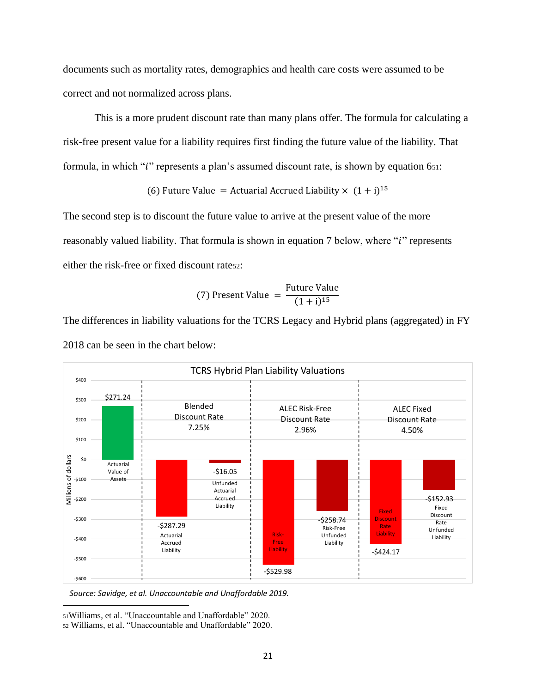documents such as mortality rates, demographics and health care costs were assumed to be correct and not normalized across plans.

This is a more prudent discount rate than many plans offer. The formula for calculating a risk-free present value for a liability requires first finding the future value of the liability. That formula, in which " $i$ " represents a plan's assumed discount rate, is shown by equation 651:

(6) Future Value = Actuarial Accrued Liability  $\times$   $(1 + i)^{15}$ 

The second step is to discount the future value to arrive at the present value of the more reasonably valued liability. That formula is shown in equation 7 below, where "*i*" represents either the risk-free or fixed discount rate52:

(7) Present Value = 
$$
\frac{\text{Future Value}}{(1+i)^{15}}
$$

The differences in liability valuations for the TCRS Legacy and Hybrid plans (aggregated) in FY 2018 can be seen in the chart below:



*Source: Savidge, et al. Unaccountable and Unaffordable 2019.*

<sup>51</sup>Williams, et al. "Unaccountable and Unaffordable" 2020.

<sup>52</sup> Williams, et al. "Unaccountable and Unaffordable" 2020.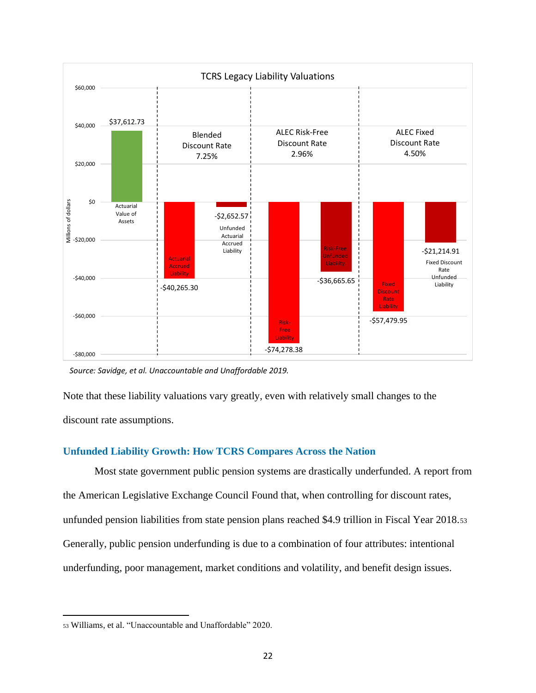<span id="page-21-0"></span>

*Source: Savidge, et al. Unaccountable and Unaffordable 2019.*

Note that these liability valuations vary greatly, even with relatively small changes to the discount rate assumptions.

#### **Unfunded Liability Growth: How TCRS Compares Across the Nation**

Most state government public pension systems are drastically underfunded. A report from the American Legislative Exchange Council Found that, when controlling for discount rates, unfunded pension liabilities from state pension plans reached \$4.9 trillion in Fiscal Year 2018.<sup>53</sup> Generally, public pension underfunding is due to a combination of four attributes: intentional underfunding, poor management, market conditions and volatility, and benefit design issues.

<sup>53</sup> Williams, et al. "Unaccountable and Unaffordable" 2020.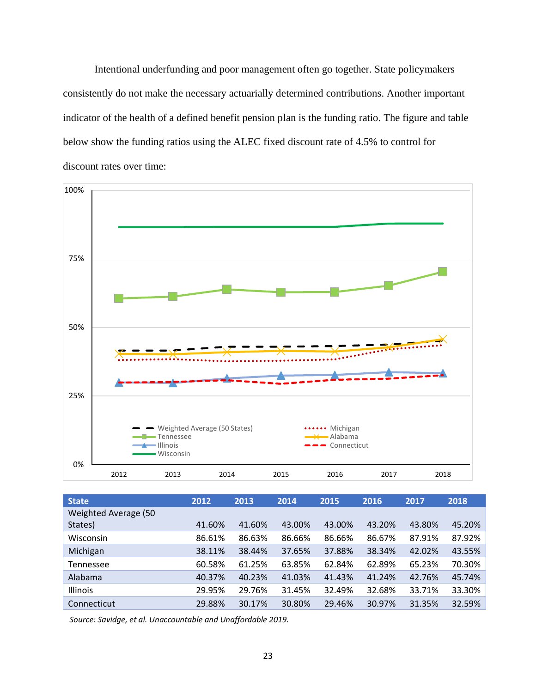Intentional underfunding and poor management often go together. State policymakers consistently do not make the necessary actuarially determined contributions. Another important indicator of the health of a defined benefit pension plan is the funding ratio. The figure and table below show the funding ratios using the ALEC fixed discount rate of 4.5% to control for discount rates over time:



| <b>State</b>         | 2012   | 2013   | 2014   | 2015   | 2016   | 2017   | 2018   |
|----------------------|--------|--------|--------|--------|--------|--------|--------|
| Weighted Average (50 |        |        |        |        |        |        |        |
| States)              | 41.60% | 41.60% | 43.00% | 43.00% | 43.20% | 43.80% | 45.20% |
| Wisconsin            | 86.61% | 86.63% | 86.66% | 86.66% | 86.67% | 87.91% | 87.92% |
| Michigan             | 38.11% | 38.44% | 37.65% | 37.88% | 38.34% | 42.02% | 43.55% |
| Tennessee            | 60.58% | 61.25% | 63.85% | 62.84% | 62.89% | 65.23% | 70.30% |
| Alabama              | 40.37% | 40.23% | 41.03% | 41.43% | 41.24% | 42.76% | 45.74% |
| Illinois             | 29.95% | 29.76% | 31.45% | 32.49% | 32.68% | 33.71% | 33.30% |
| Connecticut          | 29.88% | 30.17% | 30.80% | 29.46% | 30.97% | 31.35% | 32.59% |

*Source: Savidge, et al. Unaccountable and Unaffordable 2019.*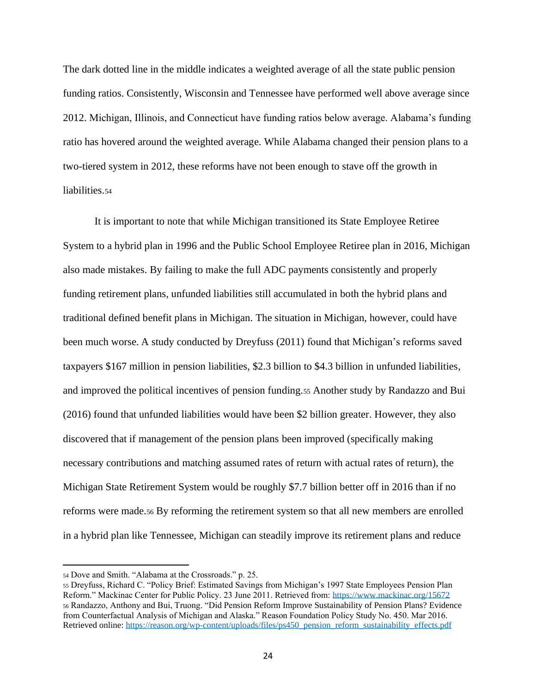The dark dotted line in the middle indicates a weighted average of all the state public pension funding ratios. Consistently, Wisconsin and Tennessee have performed well above average since 2012. Michigan, Illinois, and Connecticut have funding ratios below average. Alabama's funding ratio has hovered around the weighted average. While Alabama changed their pension plans to a two-tiered system in 2012, these reforms have not been enough to stave off the growth in liabilities.<sub>54</sub>

It is important to note that while Michigan transitioned its State Employee Retiree System to a hybrid plan in 1996 and the Public School Employee Retiree plan in 2016, Michigan also made mistakes. By failing to make the full ADC payments consistently and properly funding retirement plans, unfunded liabilities still accumulated in both the hybrid plans and traditional defined benefit plans in Michigan. The situation in Michigan, however, could have been much worse. A study conducted by Dreyfuss (2011) found that Michigan's reforms saved taxpayers \$167 million in pension liabilities, \$2.3 billion to \$4.3 billion in unfunded liabilities, and improved the political incentives of pension funding.<sup>55</sup> Another study by Randazzo and Bui (2016) found that unfunded liabilities would have been \$2 billion greater. However, they also discovered that if management of the pension plans been improved (specifically making necessary contributions and matching assumed rates of return with actual rates of return), the Michigan State Retirement System would be roughly \$7.7 billion better off in 2016 than if no reforms were made.<sup>56</sup> By reforming the retirement system so that all new members are enrolled in a hybrid plan like Tennessee, Michigan can steadily improve its retirement plans and reduce

<sup>54</sup> Dove and Smith. "Alabama at the Crossroads." p. 25.

<sup>55</sup> Dreyfuss, Richard C. "Policy Brief: Estimated Savings from Michigan's 1997 State Employees Pension Plan Reform." Mackinac Center for Public Policy. 23 June 2011. Retrieved from:<https://www.mackinac.org/15672> <sup>56</sup> Randazzo, Anthony and Bui, Truong. "Did Pension Reform Improve Sustainability of Pension Plans? Evidence from Counterfactual Analysis of Michigan and Alaska." Reason Foundation Policy Study No. 450. Mar 2016. Retrieved online[: https://reason.org/wp-content/uploads/files/ps450\\_pension\\_reform\\_sustainability\\_effects.pdf](https://reason.org/wp-content/uploads/files/ps450_pension_reform_sustainability_effects.pdf)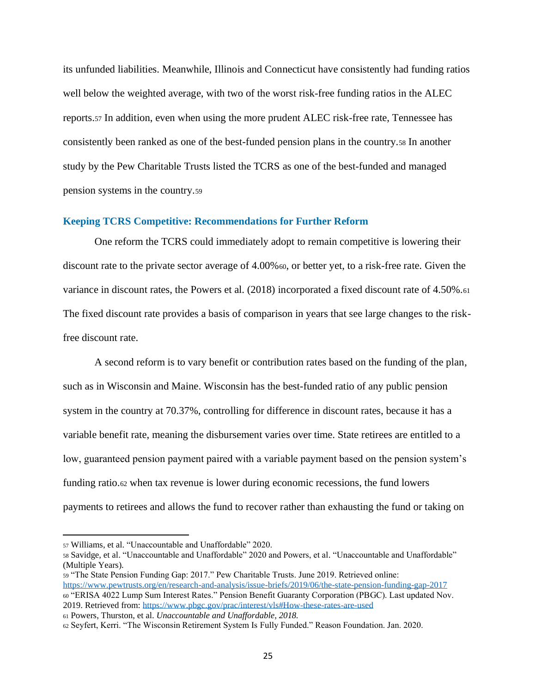<span id="page-24-0"></span>its unfunded liabilities. Meanwhile, Illinois and Connecticut have consistently had funding ratios well below the weighted average, with two of the worst risk-free funding ratios in the ALEC reports.<sup>57</sup> In addition, even when using the more prudent ALEC risk-free rate, Tennessee has consistently been ranked as one of the best-funded pension plans in the country.<sup>58</sup> In another study by the Pew Charitable Trusts listed the TCRS as one of the best-funded and managed pension systems in the country.<sup>59</sup>

#### **Keeping TCRS Competitive: Recommendations for Further Reform**

One reform the TCRS could immediately adopt to remain competitive is lowering their discount rate to the private sector average of 4.00%60, or better yet, to a risk-free rate. Given the variance in discount rates, the Powers et al. (2018) incorporated a fixed discount rate of 4.50%.<sup>61</sup> The fixed discount rate provides a basis of comparison in years that see large changes to the riskfree discount rate.

A second reform is to vary benefit or contribution rates based on the funding of the plan, such as in Wisconsin and Maine. Wisconsin has the best-funded ratio of any public pension system in the country at 70.37%, controlling for difference in discount rates, because it has a variable benefit rate, meaning the disbursement varies over time. State retirees are entitled to a low, guaranteed pension payment paired with a variable payment based on the pension system's funding ratio.<sup>62</sup> when tax revenue is lower during economic recessions, the fund lowers payments to retirees and allows the fund to recover rather than exhausting the fund or taking on

<sup>57</sup> Williams, et al. "Unaccountable and Unaffordable" 2020.

<sup>58</sup> Savidge, et al. "Unaccountable and Unaffordable" 2020 and Powers, et al. "Unaccountable and Unaffordable" (Multiple Years).

<sup>59</sup> "The State Pension Funding Gap: 2017." Pew Charitable Trusts. June 2019. Retrieved online: <https://www.pewtrusts.org/en/research-and-analysis/issue-briefs/2019/06/the-state-pension-funding-gap-2017> <sup>60</sup> "ERISA 4022 Lump Sum Interest Rates." Pension Benefit Guaranty Corporation (PBGC). Last updated Nov. 2019. Retrieved from:<https://www.pbgc.gov/prac/interest/vls#How-these-rates-are-used>

<sup>61</sup> Powers, Thurston, et al. *Unaccountable and Unaffordable, 2018.*

<sup>62</sup> Seyfert, Kerri. "The Wisconsin Retirement System Is Fully Funded." Reason Foundation. Jan. 2020.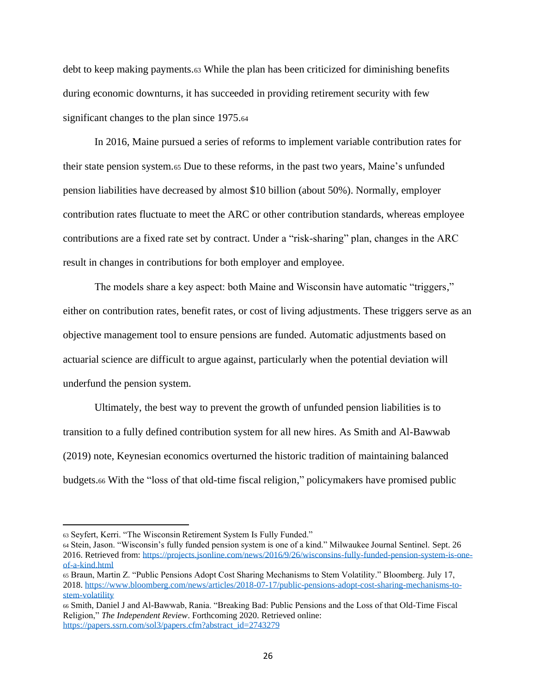debt to keep making payments.<sup>63</sup> While the plan has been criticized for diminishing benefits during economic downturns, it has succeeded in providing retirement security with few significant changes to the plan since 1975.<sup>64</sup>

In 2016, Maine pursued a series of reforms to implement variable contribution rates for their state pension system.<sup>65</sup> Due to these reforms, in the past two years, Maine's unfunded pension liabilities have decreased by almost \$10 billion (about 50%). Normally, employer contribution rates fluctuate to meet the ARC or other contribution standards, whereas employee contributions are a fixed rate set by contract. Under a "risk-sharing" plan, changes in the ARC result in changes in contributions for both employer and employee.

The models share a key aspect: both Maine and Wisconsin have automatic "triggers," either on contribution rates, benefit rates, or cost of living adjustments. These triggers serve as an objective management tool to ensure pensions are funded. Automatic adjustments based on actuarial science are difficult to argue against, particularly when the potential deviation will underfund the pension system.

Ultimately, the best way to prevent the growth of unfunded pension liabilities is to transition to a fully defined contribution system for all new hires. As Smith and Al-Bawwab (2019) note, Keynesian economics overturned the historic tradition of maintaining balanced budgets.<sup>66</sup> With the "loss of that old-time fiscal religion," policymakers have promised public

<sup>63</sup> Seyfert, Kerri. "The Wisconsin Retirement System Is Fully Funded."

<sup>64</sup> Stein, Jason. "Wisconsin's fully funded pension system is one of a kind." Milwaukee Journal Sentinel. Sept. 26 2016. Retrieved from: [https://projects.jsonline.com/news/2016/9/26/wisconsins-fully-funded-pension-system-is-one](https://projects.jsonline.com/news/2016/9/26/wisconsins-fully-funded-pension-system-is-one-of-a-kind.html)[of-a-kind.html](https://projects.jsonline.com/news/2016/9/26/wisconsins-fully-funded-pension-system-is-one-of-a-kind.html)

<sup>65</sup> Braun, Martin Z. "Public Pensions Adopt Cost Sharing Mechanisms to Stem Volatility." Bloomberg. July 17, 2018. [https://www.bloomberg.com/news/articles/2018-07-17/public-pensions-adopt-cost-sharing-mechanisms-to](https://www.bloomberg.com/news/articles/2018-07-17/public-pensions-adopt-cost-sharing-mechanisms-to-stem-volatility)[stem-volatility](https://www.bloomberg.com/news/articles/2018-07-17/public-pensions-adopt-cost-sharing-mechanisms-to-stem-volatility)

<sup>66</sup> Smith, Daniel J and Al-Bawwab, Rania. "Breaking Bad: Public Pensions and the Loss of that Old-Time Fiscal Religion," *The Independent Review*. Forthcoming 2020. Retrieved online: [https://papers.ssrn.com/sol3/papers.cfm?abstract\\_id=2743279](https://papers.ssrn.com/sol3/papers.cfm?abstract_id=2743279)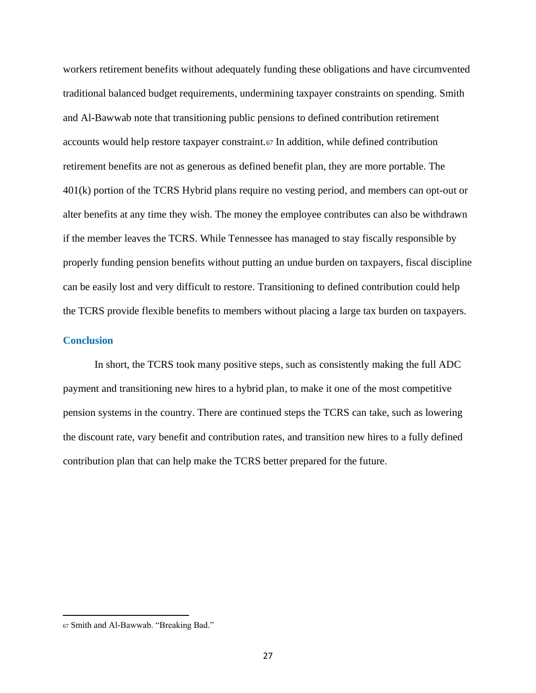<span id="page-26-0"></span>workers retirement benefits without adequately funding these obligations and have circumvented traditional balanced budget requirements, undermining taxpayer constraints on spending. Smith and Al-Bawwab note that transitioning public pensions to defined contribution retirement accounts would help restore taxpayer constraint.<sup>67</sup> In addition, while defined contribution retirement benefits are not as generous as defined benefit plan, they are more portable. The 401(k) portion of the TCRS Hybrid plans require no vesting period, and members can opt-out or alter benefits at any time they wish. The money the employee contributes can also be withdrawn if the member leaves the TCRS. While Tennessee has managed to stay fiscally responsible by properly funding pension benefits without putting an undue burden on taxpayers, fiscal discipline can be easily lost and very difficult to restore. Transitioning to defined contribution could help the TCRS provide flexible benefits to members without placing a large tax burden on taxpayers.

#### **Conclusion**

In short, the TCRS took many positive steps, such as consistently making the full ADC payment and transitioning new hires to a hybrid plan, to make it one of the most competitive pension systems in the country. There are continued steps the TCRS can take, such as lowering the discount rate, vary benefit and contribution rates, and transition new hires to a fully defined contribution plan that can help make the TCRS better prepared for the future.

<sup>67</sup> Smith and Al-Bawwab. "Breaking Bad."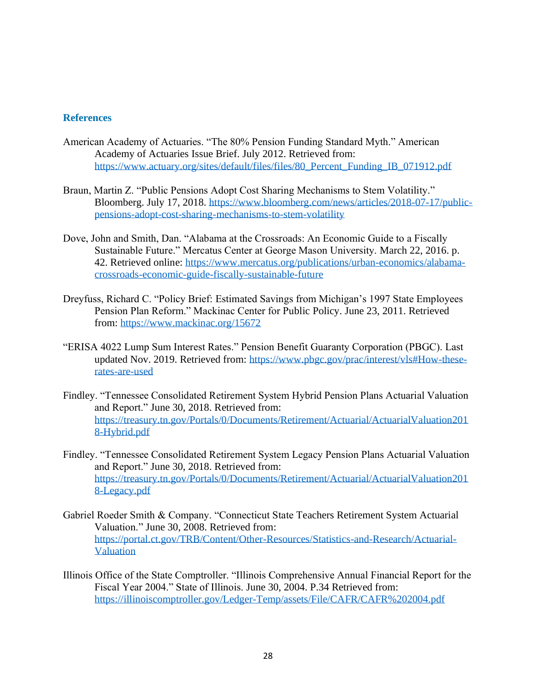#### <span id="page-27-0"></span>**References**

- American Academy of Actuaries. "The 80% Pension Funding Standard Myth." American Academy of Actuaries Issue Brief. July 2012. Retrieved from: [https://www.actuary.org/sites/default/files/files/80\\_Percent\\_Funding\\_IB\\_071912.pdf](https://www.actuary.org/sites/default/files/files/80_Percent_Funding_IB_071912.pdf)
- Braun, Martin Z. "Public Pensions Adopt Cost Sharing Mechanisms to Stem Volatility." Bloomberg. July 17, 2018. [https://www.bloomberg.com/news/articles/2018-07-17/public](https://www.bloomberg.com/news/articles/2018-07-17/public-pensions-adopt-cost-sharing-mechanisms-to-stem-volatility)[pensions-adopt-cost-sharing-mechanisms-to-stem-volatility](https://www.bloomberg.com/news/articles/2018-07-17/public-pensions-adopt-cost-sharing-mechanisms-to-stem-volatility)
- Dove, John and Smith, Dan. "Alabama at the Crossroads: An Economic Guide to a Fiscally Sustainable Future." Mercatus Center at George Mason University. March 22, 2016. p. 42. Retrieved online: [https://www.mercatus.org/publications/urban-economics/alabama](https://www.mercatus.org/publications/urban-economics/alabama-crossroads-economic-guide-fiscally-sustainable-future)[crossroads-economic-guide-fiscally-sustainable-future](https://www.mercatus.org/publications/urban-economics/alabama-crossroads-economic-guide-fiscally-sustainable-future)
- Dreyfuss, Richard C. "Policy Brief: Estimated Savings from Michigan's 1997 State Employees Pension Plan Reform." Mackinac Center for Public Policy. June 23, 2011. Retrieved from:<https://www.mackinac.org/15672>
- "ERISA 4022 Lump Sum Interest Rates." Pension Benefit Guaranty Corporation (PBGC). Last updated Nov. 2019. Retrieved from: [https://www.pbgc.gov/prac/interest/vls#How-these](https://www.pbgc.gov/prac/interest/vls#How-these-rates-are-used)[rates-are-used](https://www.pbgc.gov/prac/interest/vls#How-these-rates-are-used)
- Findley. "Tennessee Consolidated Retirement System Hybrid Pension Plans Actuarial Valuation and Report." June 30, 2018. Retrieved from: [https://treasury.tn.gov/Portals/0/Documents/Retirement/Actuarial/ActuarialValuation201](https://treasury.tn.gov/Portals/0/Documents/Retirement/Actuarial/ActuarialValuation2018-Hybrid.pdf) [8-Hybrid.pdf](https://treasury.tn.gov/Portals/0/Documents/Retirement/Actuarial/ActuarialValuation2018-Hybrid.pdf)
- Findley. "Tennessee Consolidated Retirement System Legacy Pension Plans Actuarial Valuation and Report." June 30, 2018. Retrieved from: [https://treasury.tn.gov/Portals/0/Documents/Retirement/Actuarial/ActuarialValuation201](https://treasury.tn.gov/Portals/0/Documents/Retirement/Actuarial/ActuarialValuation2018-Legacy.pdf) [8-Legacy.pdf](https://treasury.tn.gov/Portals/0/Documents/Retirement/Actuarial/ActuarialValuation2018-Legacy.pdf)
- Gabriel Roeder Smith & Company. "Connecticut State Teachers Retirement System Actuarial Valuation." June 30, 2008. Retrieved from: [https://portal.ct.gov/TRB/Content/Other-Resources/Statistics-and-Research/Actuarial-](https://portal.ct.gov/TRB/Content/Other-Resources/Statistics-and-Research/Actuarial-Valuation)[Valuation](https://portal.ct.gov/TRB/Content/Other-Resources/Statistics-and-Research/Actuarial-Valuation)
- Illinois Office of the State Comptroller. "Illinois Comprehensive Annual Financial Report for the Fiscal Year 2004." State of Illinois. June 30, 2004. P.34 Retrieved from: <https://illinoiscomptroller.gov/Ledger-Temp/assets/File/CAFR/CAFR%202004.pdf>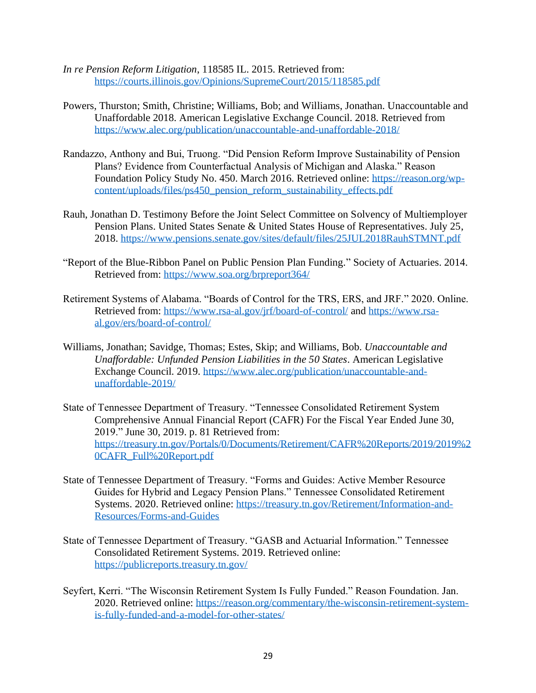- *In re Pension Reform Litigation*, 118585 IL. 2015. Retrieved from: <https://courts.illinois.gov/Opinions/SupremeCourt/2015/118585.pdf>
- Powers, Thurston; Smith, Christine; Williams, Bob; and Williams, Jonathan. Unaccountable and Unaffordable 2018. American Legislative Exchange Council. 2018. Retrieved from <https://www.alec.org/publication/unaccountable-and-unaffordable-2018/>
- Randazzo, Anthony and Bui, Truong. "Did Pension Reform Improve Sustainability of Pension Plans? Evidence from Counterfactual Analysis of Michigan and Alaska." Reason Foundation Policy Study No. 450. March 2016. Retrieved online: [https://reason.org/wp](https://reason.org/wp-content/uploads/files/ps450_pension_reform_sustainability_effects.pdf)[content/uploads/files/ps450\\_pension\\_reform\\_sustainability\\_effects.pdf](https://reason.org/wp-content/uploads/files/ps450_pension_reform_sustainability_effects.pdf)
- Rauh, Jonathan D. Testimony Before the Joint Select Committee on Solvency of Multiemployer Pension Plans. United States Senate & United States House of Representatives. July 25, 2018.<https://www.pensions.senate.gov/sites/default/files/25JUL2018RauhSTMNT.pdf>
- "Report of the Blue-Ribbon Panel on Public Pension Plan Funding." Society of Actuaries. 2014. Retrieved from:<https://www.soa.org/brpreport364/>
- Retirement Systems of Alabama. "Boards of Control for the TRS, ERS, and JRF." 2020. Online. Retrieved from:<https://www.rsa-al.gov/jrf/board-of-control/> and [https://www.rsa](https://www.rsa-al.gov/ers/board-of-control/)[al.gov/ers/board-of-control/](https://www.rsa-al.gov/ers/board-of-control/)
- Williams, Jonathan; Savidge, Thomas; Estes, Skip; and Williams, Bob. *Unaccountable and Unaffordable: Unfunded Pension Liabilities in the 50 States*. American Legislative Exchange Council. 2019. [https://www.alec.org/publication/unaccountable-and](https://www.alec.org/publication/unaccountable-and-unaffordable-2019/)[unaffordable-2019/](https://www.alec.org/publication/unaccountable-and-unaffordable-2019/)
- State of Tennessee Department of Treasury. "Tennessee Consolidated Retirement System Comprehensive Annual Financial Report (CAFR) For the Fiscal Year Ended June 30, 2019." June 30, 2019. p. 81 Retrieved from: [https://treasury.tn.gov/Portals/0/Documents/Retirement/CAFR%20Reports/2019/2019%2](https://treasury.tn.gov/Portals/0/Documents/Retirement/CAFR%20Reports/2019/2019%20CAFR_Full%20Report.pdf) [0CAFR\\_Full%20Report.pdf](https://treasury.tn.gov/Portals/0/Documents/Retirement/CAFR%20Reports/2019/2019%20CAFR_Full%20Report.pdf)
- State of Tennessee Department of Treasury. "Forms and Guides: Active Member Resource Guides for Hybrid and Legacy Pension Plans." Tennessee Consolidated Retirement Systems. 2020. Retrieved online: [https://treasury.tn.gov/Retirement/Information-and-](https://treasury.tn.gov/Retirement/Information-and-Resources/Forms-and-Guides)[Resources/Forms-and-Guides](https://treasury.tn.gov/Retirement/Information-and-Resources/Forms-and-Guides)
- State of Tennessee Department of Treasury. "GASB and Actuarial Information." Tennessee Consolidated Retirement Systems. 2019. Retrieved online: <https://publicreports.treasury.tn.gov/>
- Seyfert, Kerri. "The Wisconsin Retirement System Is Fully Funded." Reason Foundation. Jan. 2020. Retrieved online: [https://reason.org/commentary/the-wisconsin-retirement-system](https://reason.org/commentary/the-wisconsin-retirement-system-is-fully-funded-and-a-model-for-other-states/)[is-fully-funded-and-a-model-for-other-states/](https://reason.org/commentary/the-wisconsin-retirement-system-is-fully-funded-and-a-model-for-other-states/)